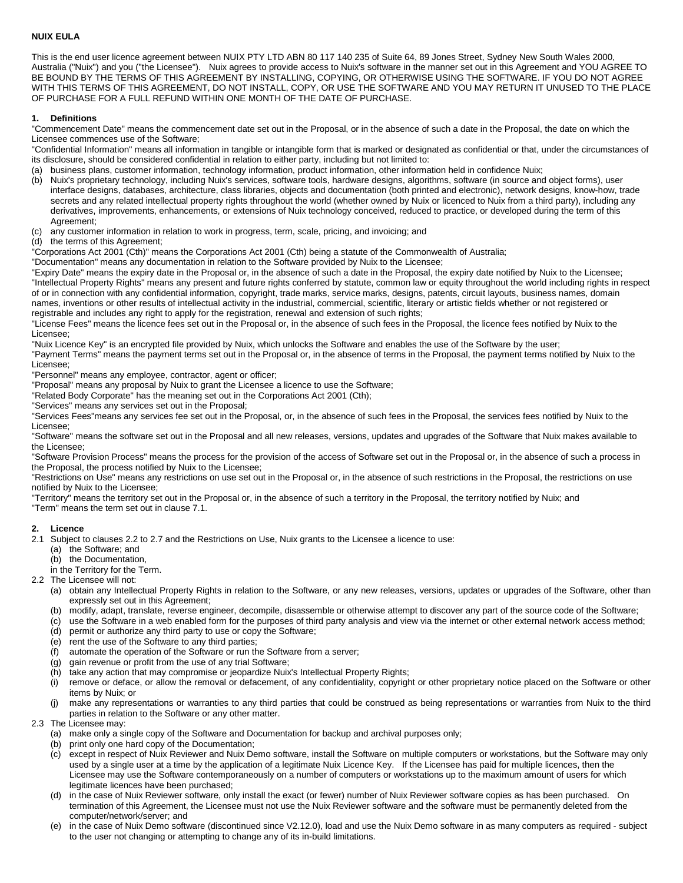### **NUIX EULA**

This is the end user licence agreement between NUIX PTY LTD ABN 80 117 140 235 of Suite 64, 89 Jones Street, Sydney New South Wales 2000, Australia ("Nuix") and you ("the Licensee"). Nuix agrees to provide access to Nuix's software in the manner set out in this Agreement and YOU AGREE TO BE BOUND BY THE TERMS OF THIS AGREEMENT BY INSTALLING, COPYING, OR OTHERWISE USING THE SOFTWARE. IF YOU DO NOT AGREE WITH THIS TERMS OF THIS AGREEMENT, DO NOT INSTALL, COPY, OR USE THE SOFTWARE AND YOU MAY RETURN IT UNUSED TO THE PLACE OF PURCHASE FOR A FULL REFUND WITHIN ONE MONTH OF THE DATE OF PURCHASE.

### **1. Definitions**

"Commencement Date" means the commencement date set out in the Proposal, or in the absence of such a date in the Proposal, the date on which the Licensee commences use of the Software;

"Confidential Information" means all information in tangible or intangible form that is marked or designated as confidential or that, under the circumstances of its disclosure, should be considered confidential in relation to either party, including but not limited to:

- (a) business plans, customer information, technology information, product information, other information held in confidence Nuix;
- (b) Nuix's proprietary technology, including Nuix's services, software tools, hardware designs, algorithms, software (in source and object forms), user interface designs, databases, architecture, class libraries, objects and documentation (both printed and electronic), network designs, know-how, trade secrets and any related intellectual property rights throughout the world (whether owned by Nuix or licenced to Nuix from a third party), including any derivatives, improvements, enhancements, or extensions of Nuix technology conceived, reduced to practice, or developed during the term of this Agreement;
- (c) any customer information in relation to work in progress, term, scale, pricing, and invoicing; and
- (d) the terms of this Agreement;

"Corporations Act 2001 (Cth)" means the Corporations Act 2001 (Cth) being a statute of the Commonwealth of Australia;

"Documentation" means any documentation in relation to the Software provided by Nuix to the Licensee;

"Expiry Date" means the expiry date in the Proposal or, in the absence of such a date in the Proposal, the expiry date notified by Nuix to the Licensee; "Intellectual Property Rights" means any present and future rights conferred by statute, common law or equity throughout the world including rights in respect of or in connection with any confidential information, copyright, trade marks, service marks, designs, patents, circuit layouts, business names, domain names, inventions or other results of intellectual activity in the industrial, commercial, scientific, literary or artistic fields whether or not registered or registrable and includes any right to apply for the registration, renewal and extension of such rights;

"License Fees" means the licence fees set out in the Proposal or, in the absence of such fees in the Proposal, the licence fees notified by Nuix to the Licensee;

"Nuix Licence Key" is an encrypted file provided by Nuix, which unlocks the Software and enables the use of the Software by the user;

"Payment Terms" means the payment terms set out in the Proposal or, in the absence of terms in the Proposal, the payment terms notified by Nuix to the Licensee;

"Personnel" means any employee, contractor, agent or officer;

"Proposal" means any proposal by Nuix to grant the Licensee a licence to use the Software;

"Related Body Corporate" has the meaning set out in the Corporations Act 2001 (Cth);

"Services" means any services set out in the Proposal;

"Services Fees"means any services fee set out in the Proposal, or, in the absence of such fees in the Proposal, the services fees notified by Nuix to the Licensee;

"Software" means the software set out in the Proposal and all new releases, versions, updates and upgrades of the Software that Nuix makes available to the Licensee;

"Software Provision Process" means the process for the provision of the access of Software set out in the Proposal or, in the absence of such a process in the Proposal, the process notified by Nuix to the Licensee;

"Restrictions on Use" means any restrictions on use set out in the Proposal or, in the absence of such restrictions in the Proposal, the restrictions on use notified by Nuix to the Licensee;

"Territory" means the territory set out in the Proposal or, in the absence of such a territory in the Proposal, the territory notified by Nuix; and

"Term" means the term set out in clause 7.1.

#### **2. Licence**

- 2.1 Subject to clauses 2.2 to 2.7 and the Restrictions on Use, Nuix grants to the Licensee a licence to use:
	- (a) the Software; and
	- (b) the Documentation,
	- in the Territory for the Term.

2.2 The Licensee will not:

- (a) obtain any Intellectual Property Rights in relation to the Software, or any new releases, versions, updates or upgrades of the Software, other than expressly set out in this Agreement;
- (b) modify, adapt, translate, reverse engineer, decompile, disassemble or otherwise attempt to discover any part of the source code of the Software;
- (c) use the Software in a web enabled form for the purposes of third party analysis and view via the internet or other external network access method;
- (d) permit or authorize any third party to use or copy the Software;
- (e) rent the use of the Software to any third parties;
- (f) automate the operation of the Software or run the Software from a server;
- (g) gain revenue or profit from the use of any trial Software;
- (h) take any action that may compromise or jeopardize Nuix's Intellectual Property Rights;
- (i) remove or deface, or allow the removal or defacement, of any confidentiality, copyright or other proprietary notice placed on the Software or other items by Nuix; or
- (j) make any representations or warranties to any third parties that could be construed as being representations or warranties from Nuix to the third parties in relation to the Software or any other matter.
- 2.3 The Licensee may:
	- (a) make only a single copy of the Software and Documentation for backup and archival purposes only;
	- (b) print only one hard copy of the Documentation;
	- (c) except in respect of Nuix Reviewer and Nuix Demo software, install the Software on multiple computers or workstations, but the Software may only used by a single user at a time by the application of a legitimate Nuix Licence Key. If the Licensee has paid for multiple licences, then the Licensee may use the Software contemporaneously on a number of computers or workstations up to the maximum amount of users for which legitimate licences have been purchased;
	- (d) in the case of Nuix Reviewer software, only install the exact (or fewer) number of Nuix Reviewer software copies as has been purchased. On termination of this Agreement, the Licensee must not use the Nuix Reviewer software and the software must be permanently deleted from the computer/network/server; and
	- (e) in the case of Nuix Demo software (discontinued since V2.12.0), load and use the Nuix Demo software in as many computers as required subject to the user not changing or attempting to change any of its in-build limitations.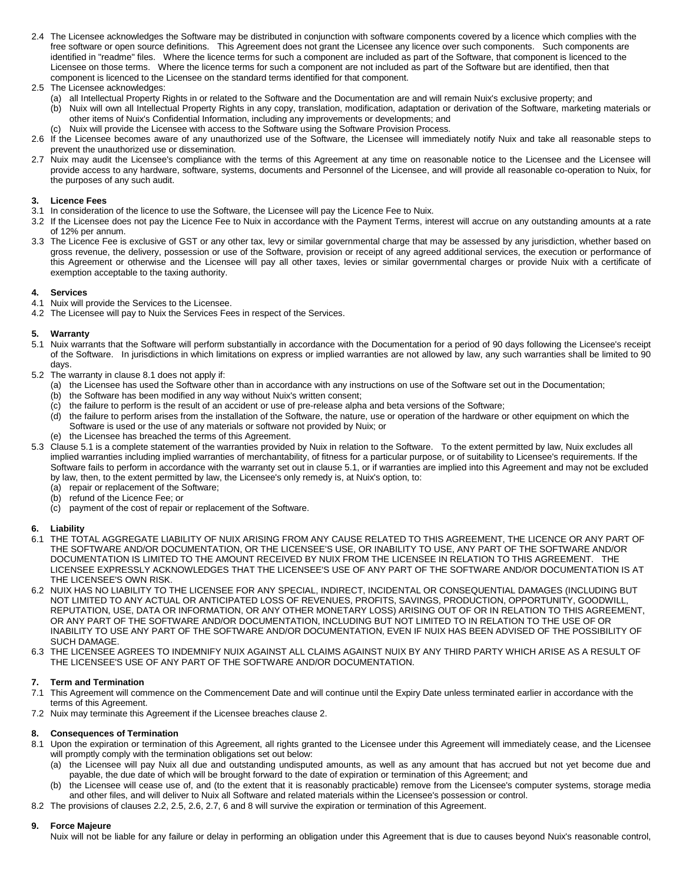2.4 The Licensee acknowledges the Software may be distributed in conjunction with software components covered by a licence which complies with the free software or open source definitions. This Agreement does not grant the Licensee any licence over such components. Such components are identified in "readme" files. Where the licence terms for such a component are included as part of the Software, that component is licenced to the Licensee on those terms. Where the licence terms for such a component are not included as part of the Software but are identified, then that component is licenced to the Licensee on the standard terms identified for that component.

### 2.5 The Licensee acknowledges:

- (a) all Intellectual Property Rights in or related to the Software and the Documentation are and will remain Nuix's exclusive property; and
- (b) Nuix will own all Intellectual Property Rights in any copy, translation, modification, adaptation or derivation of the Software, marketing materials or other items of Nuix's Confidential Information, including any improvements or developments; and
- (c) Nuix will provide the Licensee with access to the Software using the Software Provision Process.
- 2.6 If the Licensee becomes aware of any unauthorized use of the Software, the Licensee will immediately notify Nuix and take all reasonable steps to prevent the unauthorized use or dissemination.
- 2.7 Nuix may audit the Licensee's compliance with the terms of this Agreement at any time on reasonable notice to the Licensee and the Licensee will provide access to any hardware, software, systems, documents and Personnel of the Licensee, and will provide all reasonable co-operation to Nuix, for the purposes of any such audit.

### **3. Licence Fees**

- 3.1 In consideration of the licence to use the Software, the Licensee will pay the Licence Fee to Nuix.
- 3.2 If the Licensee does not pay the Licence Fee to Nuix in accordance with the Payment Terms, interest will accrue on any outstanding amounts at a rate of 12% per annum.
- 3.3 The Licence Fee is exclusive of GST or any other tax, levy or similar governmental charge that may be assessed by any jurisdiction, whether based on gross revenue, the delivery, possession or use of the Software, provision or receipt of any agreed additional services, the execution or performance of this Agreement or otherwise and the Licensee will pay all other taxes, levies or similar governmental charges or provide Nuix with a certificate of exemption acceptable to the taxing authority.

# **4. Services**

- 4.1 Nuix will provide the Services to the Licensee.
- 4.2 The Licensee will pay to Nuix the Services Fees in respect of the Services.

### **5. Warranty**

- 5.1 Nuix warrants that the Software will perform substantially in accordance with the Documentation for a period of 90 days following the Licensee's receipt of the Software. In jurisdictions in which limitations on express or implied warranties are not allowed by law, any such warranties shall be limited to 90 days.
- 5.2 The warranty in clause 8.1 does not apply if:
	- (a) the Licensee has used the Software other than in accordance with any instructions on use of the Software set out in the Documentation;
	- (b) the Software has been modified in any way without Nuix's written consent;
	- (c) the failure to perform is the result of an accident or use of pre-release alpha and beta versions of the Software;
	- (d) the failure to perform arises from the installation of the Software, the nature, use or operation of the hardware or other equipment on which the Software is used or the use of any materials or software not provided by Nuix; or
	- (e) the Licensee has breached the terms of this Agreement.
- 5.3 Clause 5.1 is a complete statement of the warranties provided by Nuix in relation to the Software. To the extent permitted by law, Nuix excludes all implied warranties including implied warranties of merchantability, of fitness for a particular purpose, or of suitability to Licensee's requirements. If the Software fails to perform in accordance with the warranty set out in clause 5.1, or if warranties are implied into this Agreement and may not be excluded by law, then, to the extent permitted by law, the Licensee's only remedy is, at Nuix's option, to:
	- (a) repair or replacement of the Software;
	- (b) refund of the Licence Fee; or
	- (c) payment of the cost of repair or replacement of the Software.

# **6. Liability**

- 6.1 THE TOTAL AGGREGATE LIABILITY OF NUIX ARISING FROM ANY CAUSE RELATED TO THIS AGREEMENT, THE LICENCE OR ANY PART OF THE SOFTWARE AND/OR DOCUMENTATION, OR THE LICENSEE'S USE, OR INABILITY TO USE, ANY PART OF THE SOFTWARE AND/OR DOCUMENTATION IS LIMITED TO THE AMOUNT RECEIVED BY NUIX FROM THE LICENSEE IN RELATION TO THIS AGREEMENT. THE LICENSEE EXPRESSLY ACKNOWLEDGES THAT THE LICENSEE'S USE OF ANY PART OF THE SOFTWARE AND/OR DOCUMENTATION IS AT THE LICENSEE'S OWN RISK.
- 6.2 NUIX HAS NO LIABILITY TO THE LICENSEE FOR ANY SPECIAL, INDIRECT, INCIDENTAL OR CONSEQUENTIAL DAMAGES (INCLUDING BUT NOT LIMITED TO ANY ACTUAL OR ANTICIPATED LOSS OF REVENUES, PROFITS, SAVINGS, PRODUCTION, OPPORTUNITY, GOODWILL, REPUTATION, USE, DATA OR INFORMATION, OR ANY OTHER MONETARY LOSS) ARISING OUT OF OR IN RELATION TO THIS AGREEMENT, OR ANY PART OF THE SOFTWARE AND/OR DOCUMENTATION, INCLUDING BUT NOT LIMITED TO IN RELATION TO THE USE OF OR INABILITY TO USE ANY PART OF THE SOFTWARE AND/OR DOCUMENTATION, EVEN IF NUIX HAS BEEN ADVISED OF THE POSSIBILITY OF SUCH DAMAGE.
- 6.3 THE LICENSEE AGREES TO INDEMNIFY NUIX AGAINST ALL CLAIMS AGAINST NUIX BY ANY THIRD PARTY WHICH ARISE AS A RESULT OF THE LICENSEE'S USE OF ANY PART OF THE SOFTWARE AND/OR DOCUMENTATION.

# **7. Term and Termination**

- 7.1 This Agreement will commence on the Commencement Date and will continue until the Expiry Date unless terminated earlier in accordance with the terms of this Agreement.
- 7.2 Nuix may terminate this Agreement if the Licensee breaches clause 2.

# **8. Consequences of Termination**

- 8.1 Upon the expiration or termination of this Agreement, all rights granted to the Licensee under this Agreement will immediately cease, and the Licensee will promptly comply with the termination obligations set out below:
	- (a) the Licensee will pay Nuix all due and outstanding undisputed amounts, as well as any amount that has accrued but not yet become due and payable, the due date of which will be brought forward to the date of expiration or termination of this Agreement; and
	- (b) the Licensee will cease use of, and (to the extent that it is reasonably practicable) remove from the Licensee's computer systems, storage media and other files, and will deliver to Nuix all Software and related materials within the Licensee's possession or control.
- 8.2 The provisions of clauses 2.2, 2.5, 2.6, 2.7, 6 and 8 will survive the expiration or termination of this Agreement.

# **9. Force Majeure**

Nuix will not be liable for any failure or delay in performing an obligation under this Agreement that is due to causes beyond Nuix's reasonable control,